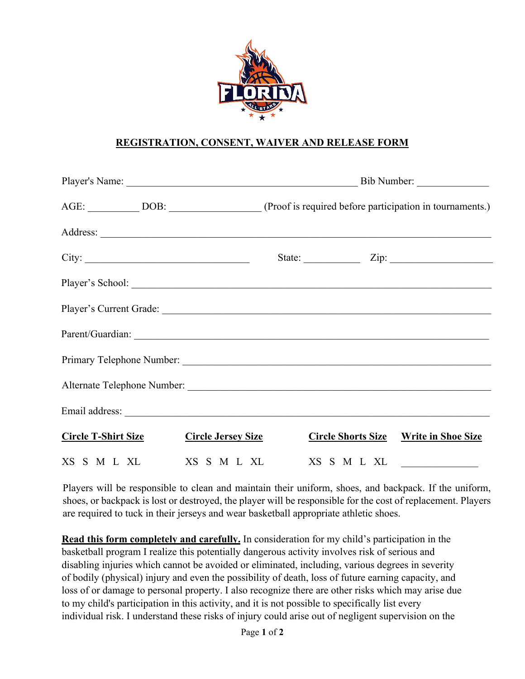

## **REGISTRATION, CONSENT, WAIVER AND RELEASE FORM**

|  |                            |                           | AGE: ______________DOB: _______________________(Proof is required before participation in tournaments.) |             |                                              |
|--|----------------------------|---------------------------|---------------------------------------------------------------------------------------------------------|-------------|----------------------------------------------|
|  |                            |                           |                                                                                                         |             |                                              |
|  |                            |                           |                                                                                                         |             | State: $\angle$ Zip: $\angle$                |
|  |                            |                           |                                                                                                         |             | Player's School:                             |
|  |                            |                           |                                                                                                         |             |                                              |
|  |                            |                           |                                                                                                         |             |                                              |
|  |                            |                           |                                                                                                         |             |                                              |
|  |                            |                           |                                                                                                         |             |                                              |
|  |                            |                           |                                                                                                         |             |                                              |
|  | <b>Circle T-Shirt Size</b> | <u>Circle Jersey Size</u> |                                                                                                         |             | <b>Circle Shorts Size Write in Shoe Size</b> |
|  |                            | XS S M L XL XS S M L XL   |                                                                                                         | XS S M L XL |                                              |

Players will be responsible to clean and maintain their uniform, shoes, and backpack. If the uniform, shoes, or backpack is lost or destroyed, the player will be responsible for the cost of replacement. Players are required to tuck in their jerseys and wear basketball appropriate athletic shoes.

**Read this form completely and carefully.** In consideration for my child's participation in the basketball program I realize this potentially dangerous activity involves risk of serious and disabling injuries which cannot be avoided or eliminated, including, various degrees in severity of bodily (physical) injury and even the possibility of death, loss of future earning capacity, and loss of or damage to personal property. I also recognize there are other risks which may arise due to my child's participation in this activity, and it is not possible to specifically list every individual risk. I understand these risks of injury could arise out of negligent supervision on the